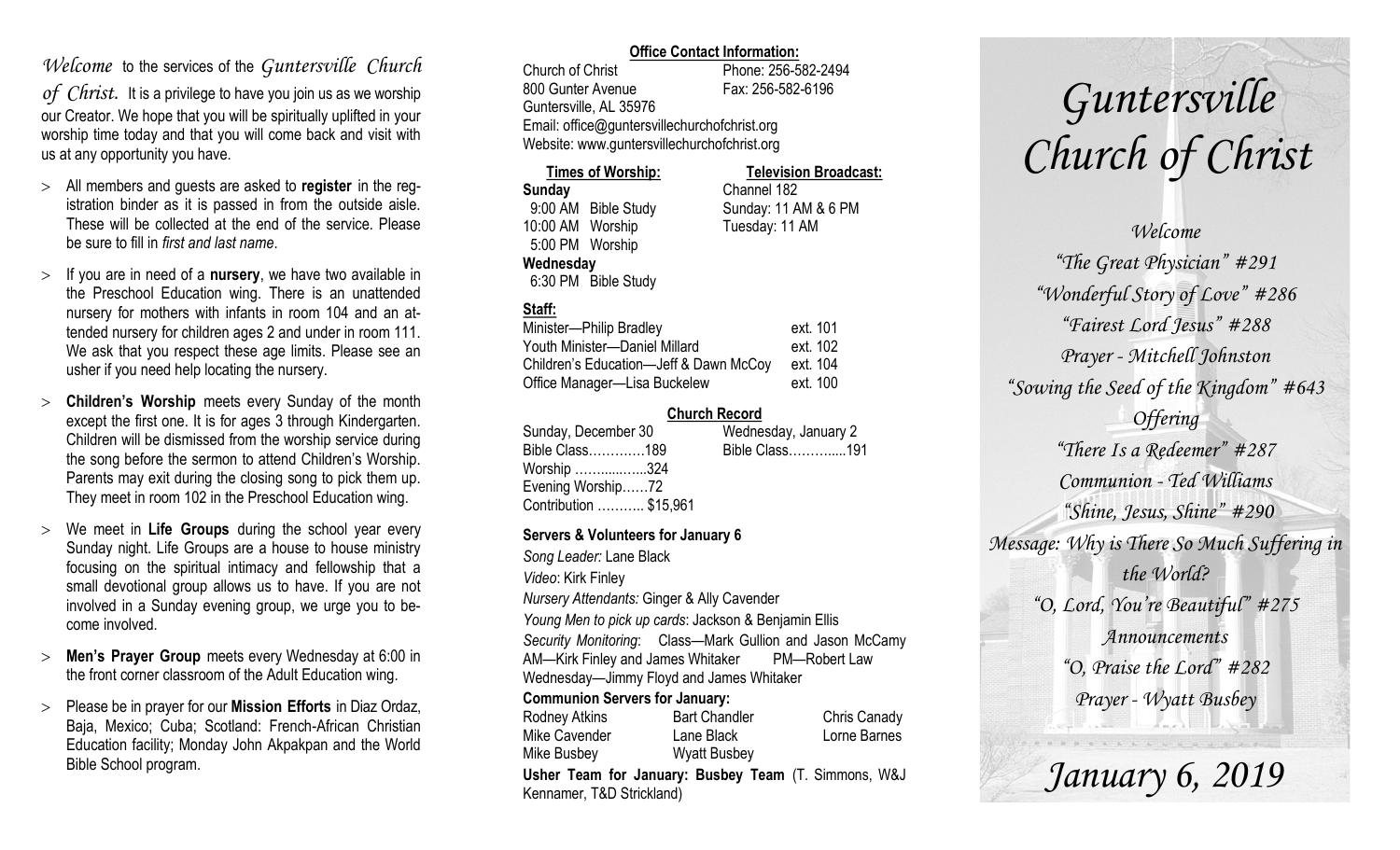### *Welcome* to the services of the *Guntersville Church*

*of Christ*. It is a privilege to have you join us as we worship our Creator. We hope that you will be spiritually uplifted in your worship time today and that you will come back and visit with us at any opportunity you have.

- All members and guests are asked to **register** in the registration binder as it is passed in from the outside aisle. These will be collected at the end of the service. Please be sure to fill in *first and last name*.
- $>$  If you are in need of a **nursery**, we have two available in the Preschool Education wing. There is an unattended nursery for mothers with infants in room 104 and an attended nursery for children ages 2 and under in room 111. We ask that you respect these age limits. Please see an usher if you need help locating the nursery.
- **Children's Worship** meets every Sunday of the month except the first one. It is for ages 3 through Kindergarten. Children will be dismissed from the worship service during the song before the sermon to attend Children's Worship. Parents may exit during the closing song to pick them up. They meet in room 102 in the Preschool Education wing.
- We meet in **Life Groups** during the school year every Sunday night. Life Groups are a house to house ministry focusing on the spiritual intimacy and fellowship that a small devotional group allows us to have. If you are not involved in a Sunday evening group, we urge you to become involved.
- **Men's Prayer Group** meets every Wednesday at 6:00 in the front corner classroom of the Adult Education wing.
- Please be in prayer for our **Mission Efforts** in Diaz Ordaz, Baja, Mexico; Cuba; Scotland: French-African Christian Education facility; Monday John Akpakpan and the World Bible School program.

### **Office Contact Information:**

Church of Christ Phone: 256-582-2494 800 Gunter Avenue Fax: 256-582-6196 Guntersville, AL 35976 Email: office@guntersvillechurchofchrist.org Website: www.guntersvillechurchofchrist.org

| <b>Times of Worship:</b> |                     | <b>Television Broadcast:</b> |  |  |
|--------------------------|---------------------|------------------------------|--|--|
| <b>Sunday</b>            |                     | Channel 182                  |  |  |
| 9:00 AM Bible Study      |                     | Sunday: 11 AM & 6 PM         |  |  |
| 10:00 AM Worship         |                     | Tuesday: 11 AM               |  |  |
| 5:00 PM Worship          |                     |                              |  |  |
| Wednesday                |                     |                              |  |  |
|                          | 6:30 PM Bible Study |                              |  |  |

### **Staff:**

| Minister-Philip Bradley                | ext. 101 |
|----------------------------------------|----------|
| Youth Minister-Daniel Millard          | ext. 102 |
| Children's Education-Jeff & Dawn McCoy | ext. 104 |
| Office Manager-Lisa Buckelew           | ext. 100 |

### **Church Record**

| Sunday, December 30    | Wednesday, January 2 |  |
|------------------------|----------------------|--|
| Bible Class189         | Bible Class191       |  |
| Worship 324            |                      |  |
| Evening Worship72      |                      |  |
| Contribution  \$15,961 |                      |  |
|                        |                      |  |

### **Servers & Volunteers for January 6**

*Song Leader:* Lane Black *Video*: Kirk Finley *Nursery Attendants:* Ginger & Ally Cavender *Young Men to pick up cards*: Jackson & Benjamin Ellis *Security Monitoring*: Class—Mark Gullion and Jason McCamy AM—Kirk Finley and James Whitaker PM—Robert Law Wednesday—Jimmy Floyd and James Whitaker **Communion Servers for January:** 

| Rodney Atkins                                        | <b>Bart Chandler</b> | Chris Canady |  |  |  |
|------------------------------------------------------|----------------------|--------------|--|--|--|
| Mike Cavender                                        | Lane Black           | Lorne Barnes |  |  |  |
| Mike Busbey                                          | <b>Wyatt Busbey</b>  |              |  |  |  |
| Usher Team for January: Busbey Team (T. Simmons, W&J |                      |              |  |  |  |
| Kennamer, T&D Strickland)                            |                      |              |  |  |  |

*Guntersville Church of Christ*

*Welcome "The Great Physician" #291 "Wonderful Story of Love" #286 "Fairest Lord Jesus" #288 Prayer - Mitchell Johnston "Sowing the Seed of the Kingdom" #643 Offering "There Is a Redeemer" #287 Communion - Ted Williams "Shine, Jesus, Shine" #290 Message: Why is There So Much Suffering in the World? "O, Lord, You're Beautiful" #275 Announcements "O, Praise the Lord" #282 Prayer - Wyatt Busbey*

*January 6, 2019*